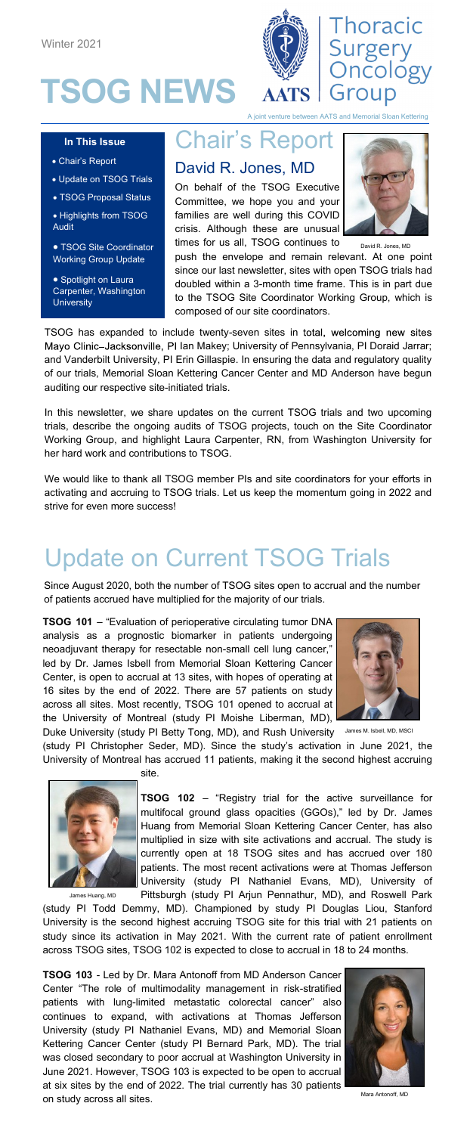





hture between AATS and Memorial Sloan Kette

### Chair's Report

#### **In This Issue** • Chair's Report

- Update on TSOG Trials
- TSOG Proposal Status
- Highlights from TSOG Audit

• TSOG Site Coordinator Working Group Update

• Spotlight on Laura Carpenter, Washington **University** 

### David R. Jones, MD

On behalf of the TSOG Executive Committee, we hope you and your families are well during this COVID crisis. Although these are unusual times for us all, TSOG continues to



push the envelope and remain relevant. At one point since our last newsletter, sites with open TSOG trials had doubled within a 3-month time frame. This is in part due to the TSOG Site Coordinator Working Group, which is composed of our site coordinators. David R. Jon

TSOG has expanded to include twenty-seven sites in total, welcoming new sites Mayo Clinic-Jacksonville, PI Ian Makey; University of Pennsylvania, PI Doraid Jarrar; and Vanderbilt University, PI Erin Gillaspie. In ensuring the data and regulatory quality of our trials, Memorial Sloan Kettering Cancer Center and MD Anderson have begun auditing our respective site-initiated trials.

In this newsletter, we share updates on the current TSOG trials and two upcoming trials, describe the ongoing audits of TSOG projects, touch on the Site Coordinator Working Group, and highlight Laura Carpenter, RN, from Washington University for her hard work and contributions to TSOG.

We would like to thank all TSOG member PIs and site coordinators for your efforts in activating and accruing to TSOG trials. Let us keep the momentum going in 2022 and strive for even more success!

# Update on Current TSOG Trials

Since August 2020, both the number of TSOG sites open to accrual and the number of patients accrued have multiplied for the majority of our trials.

**TSOG 101** – "Evaluation of perioperative circulating tumor DNA analysis as a prognostic biomarker in patients undergoing neoadjuvant therapy for resectable non-small cell lung cancer, led by Dr. James Isbell from Memorial Sloan Kettering Cancer Center, is open to accrual at 13 sites, with hopes of operating at 16 sites by the end of 2022. There are 57 patients on study across all sites. Most recently, TSOG 101 opened to accrual at the University of Montreal (study PI Moishe Liberman, MD),

Duke University (study PI Betty Tong, MD), and Rush University



James M. Isbell, MD, MSCI

(study PI Christopher Seder, MD). Since the study's activation in June 2021, the University of Montreal has accrued 11 patients, making it the second highest accruing site.



**TSOG 102** – "Registry trial for the active surveillance for multifocal ground glass opacities (GGOs)," led by Dr. James Huang from Memorial Sloan Kettering Cancer Center, has also multiplied in size with site activations and accrual. The study is currently open at 18 TSOG sites and has accrued over 180 patients. The most recent activations were at Thomas Jefferson University (study PI Nathaniel Evans, MD), University of Pittsburgh (study PI Arjun Pennathur, MD), and Roswell Park

(study PI Todd Demmy, MD). Championed by study PI Douglas Liou, Stanford University is the second highest accruing TSOG site for this trial with 21 patients on study since its activation in May 2021. With the current rate of patient enrollment across TSOG sites, TSOG 102 is expected to close to accrual in 18 to 24 months.

**TSOG 103** - Led by Dr. Mara Antonoff from MD Anderson Cancer Center "The role of multimodality management in risk-stratified patients with lung-limited metastatic colorectal cancer" also continues to expand, with activations at Thomas Jefferson University (study PI Nathaniel Evans, MD) and Memorial Sloan Kettering Cancer Center (study PI Bernard Park, MD). The trial was closed secondary to poor accrual at Washington University in June 2021. However, TSOG 103 is expected to be open to accrual at six sites by the end of 2022. The trial currently has 30 patients on study across all sites.



onoff, MD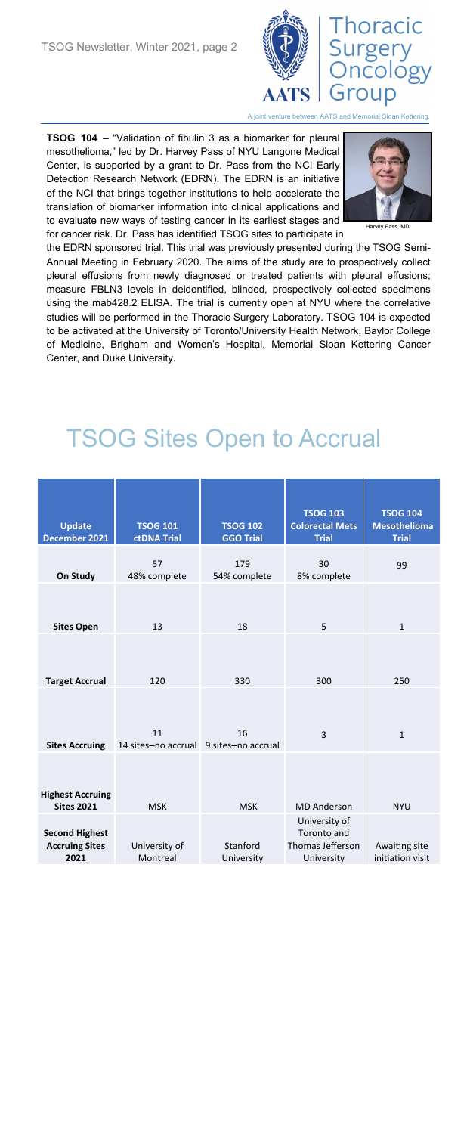

A joint venture between AATS and Memorial Sloan Kettering

**TSOG 104** – "Validation of fibulin 3 as a biomarker for pleural mesothelioma," led by Dr. Harvey Pass of NYU Langone Medical Center, is supported by a grant to Dr. Pass from the NCI Early Detection Research Network (EDRN). The EDRN is an initiative of the NCI that brings together institutions to help accelerate the translation of biomarker information into clinical applications and to evaluate new ways of testing cancer in its earliest stages and for cancer risk. Dr. Pass has identified TSOG sites to participate in



Harvey Pass, MD

the EDRN sponsored trial. This trial was previously presented during the TSOG Semi-Annual Meeting in February 2020. The aims of the study are to prospectively collect pleural effusions from newly diagnosed or treated patients with pleural effusions; measure FBLN3 levels in deidentified, blinded, prospectively collected specimens using the mab428.2 ELISA. The trial is currently open at NYU where the correlative studies will be performed in the Thoracic Surgery Laboratory. TSOG 104 is expected to be activated at the University of Toronto/University Health Network, Baylor College of Medicine, Brigham and Women's Hospital, Memorial Sloan Kettering Cancer Center, and Duke University.

# TSOG Sites Open to Accrual

| <b>Update</b><br>December 2021                         | <b>TSOG 101</b><br>ctDNA Trial               | <b>TSOG 102</b><br><b>GGO Trial</b> | <b>TSOG 103</b><br><b>Colorectal Mets</b><br><b>Trial</b>      | <b>TSOG 104</b><br><b>Mesothelioma</b><br><b>Trial</b> |
|--------------------------------------------------------|----------------------------------------------|-------------------------------------|----------------------------------------------------------------|--------------------------------------------------------|
| On Study                                               | 57<br>48% complete                           | 179<br>54% complete                 | 30<br>8% complete                                              | 99                                                     |
| <b>Sites Open</b>                                      | 13                                           | 18                                  | 5                                                              | $\mathbf{1}$                                           |
| <b>Target Accrual</b>                                  | 120                                          | 330                                 | 300                                                            | 250                                                    |
| <b>Sites Accruing</b>                                  | 11<br>14 sites-no accrual 9 sites-no accrual | 16                                  | 3                                                              | $\mathbf{1}$                                           |
| <b>Highest Accruing</b><br><b>Sites 2021</b>           | <b>MSK</b>                                   | <b>MSK</b>                          | <b>MD</b> Anderson                                             | <b>NYU</b>                                             |
| <b>Second Highest</b><br><b>Accruing Sites</b><br>2021 | University of<br>Montreal                    | Stanford<br>University              | University of<br>Toronto and<br>Thomas Jefferson<br>University | Awaiting site<br>initiation visit                      |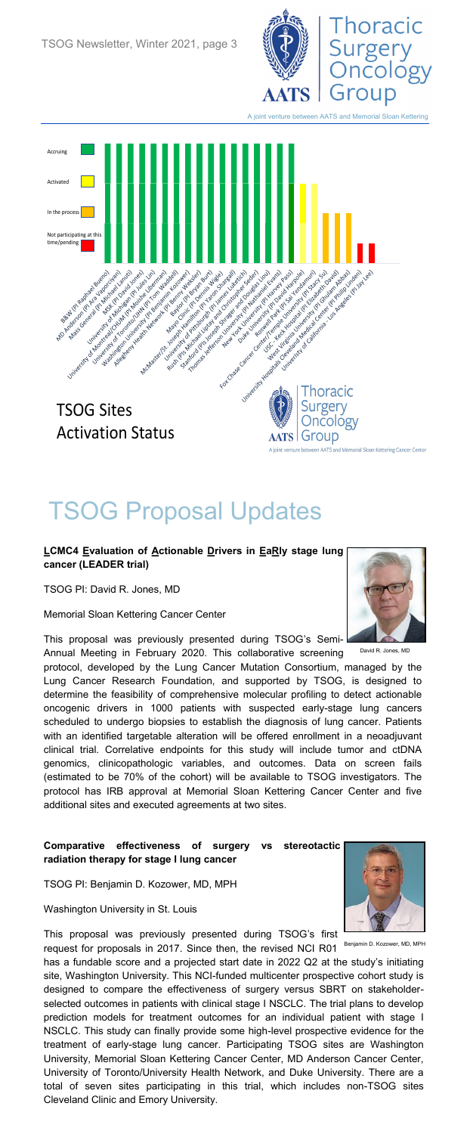

en AATS and Memorial Sloan Kettering



# TSOG Proposal Updates

#### **LCMC4 Evaluation of Actionable Drivers in EaRly stage lung cancer (LEADER trial)**

TSOG PI: David R. Jones, MD

Memorial Sloan Kettering Cancer Center

This proposal was previously presented during TSOG's Semi-Annual Meeting in February 2020. This collaborative screening

protocol, developed by the Lung Cancer Mutation Consortium, managed by the Lung Cancer Research Foundation, and supported by TSOG, is designed to determine the feasibility of comprehensive molecular profiling to detect actionable oncogenic drivers in 1000 patients with suspected early-stage lung cancers scheduled to undergo biopsies to establish the diagnosis of lung cancer. Patients with an identified targetable alteration will be offered enrollment in a neoadjuvant clinical trial. Correlative endpoints for this study will include tumor and ctDNA genomics, clinicopathologic variables, and outcomes. Data on screen fails (estimated to be 70% of the cohort) will be available to TSOG investigators. The protocol has IRB approval at Memorial Sloan Kettering Cancer Center and five additional sites and executed agreements at two sites.

#### **Comparative effectiveness of surgery vs stereotactic radiation therapy for stage I lung cancer**

TSOG PI: Benjamin D. Kozower, MD, MPH

Washington University in St. Louis

This proposal was previously presented during TSOG's first

request for proposals in 2017. Since then, the revised NCI R01 has a fundable score and a projected start date in 2022 Q2 at the study's initiating site, Washington University. This NCI-funded multicenter prospective cohort study is designed to compare the effectiveness of surgery versus SBRT on stakeholderselected outcomes in patients with clinical stage I NSCLC. The trial plans to develop prediction models for treatment outcomes for an individual patient with stage I NSCLC. This study can finally provide some high-level prospective evidence for the treatment of early-stage lung cancer. Participating TSOG sites are Washington University, Memorial Sloan Kettering Cancer Center, MD Anderson Cancer Center, University of Toronto/University Health Network, and Duke University. There are a total of seven sites participating in this trial, which includes non-TSOG sites Cleveland Clinic and Emory University.



David R. Jones, MD



Benjamin D. Kozower, MD, MPH